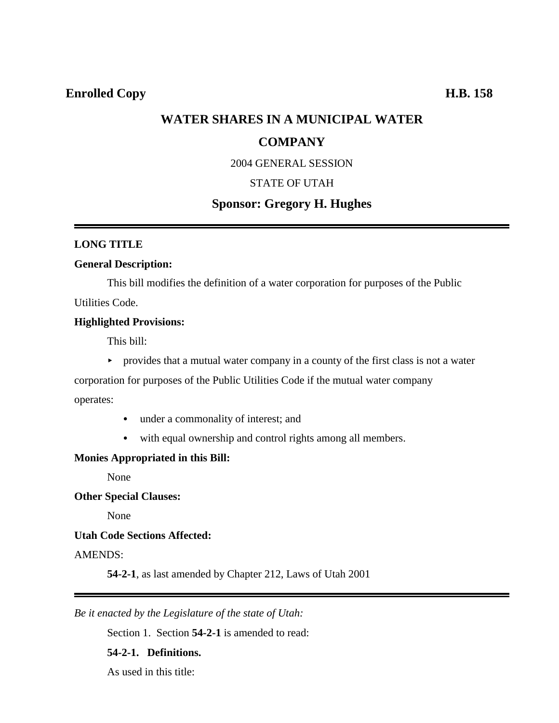# **WATER SHARES IN A MUNICIPAL WATER**

## **COMPANY**

2004 GENERAL SESSION

## STATE OF UTAH

# **Sponsor: Gregory H. Hughes**

## **LONG TITLE**

### **General Description:**

This bill modifies the definition of a water corporation for purposes of the Public Utilities Code.

### **Highlighted Provisions:**

This bill:

 $\rightarrow$  provides that a mutual water company in a county of the first class is not a water

corporation for purposes of the Public Utilities Code if the mutual water company

operates:

- under a commonality of interest; and
- with equal ownership and control rights among all members.

## **Monies Appropriated in this Bill:**

None

**Other Special Clauses:**

None

## **Utah Code Sections Affected:**

AMENDS:

**54-2-1**, as last amended by Chapter 212, Laws of Utah 2001

*Be it enacted by the Legislature of the state of Utah:*

Section 1. Section **54-2-1** is amended to read:

### **54-2-1. Definitions.**

As used in this title: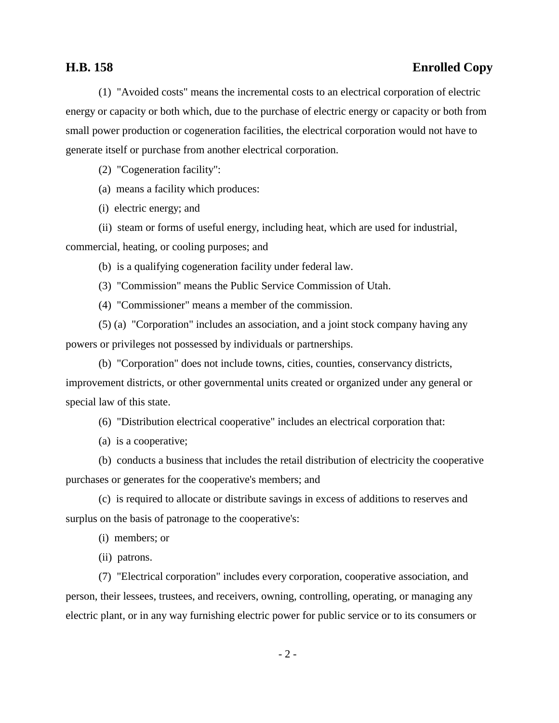## **H.B. 158 Enrolled Copy**

(1) "Avoided costs" means the incremental costs to an electrical corporation of electric energy or capacity or both which, due to the purchase of electric energy or capacity or both from small power production or cogeneration facilities, the electrical corporation would not have to generate itself or purchase from another electrical corporation.

(2) "Cogeneration facility":

(a) means a facility which produces:

(i) electric energy; and

(ii) steam or forms of useful energy, including heat, which are used for industrial, commercial, heating, or cooling purposes; and

(b) is a qualifying cogeneration facility under federal law.

(3) "Commission" means the Public Service Commission of Utah.

(4) "Commissioner" means a member of the commission.

(5) (a) "Corporation" includes an association, and a joint stock company having any powers or privileges not possessed by individuals or partnerships.

(b) "Corporation" does not include towns, cities, counties, conservancy districts, improvement districts, or other governmental units created or organized under any general or special law of this state.

(6) "Distribution electrical cooperative" includes an electrical corporation that:

(a) is a cooperative;

(b) conducts a business that includes the retail distribution of electricity the cooperative purchases or generates for the cooperative's members; and

(c) is required to allocate or distribute savings in excess of additions to reserves and surplus on the basis of patronage to the cooperative's:

(i) members; or

(ii) patrons.

(7) "Electrical corporation" includes every corporation, cooperative association, and person, their lessees, trustees, and receivers, owning, controlling, operating, or managing any electric plant, or in any way furnishing electric power for public service or to its consumers or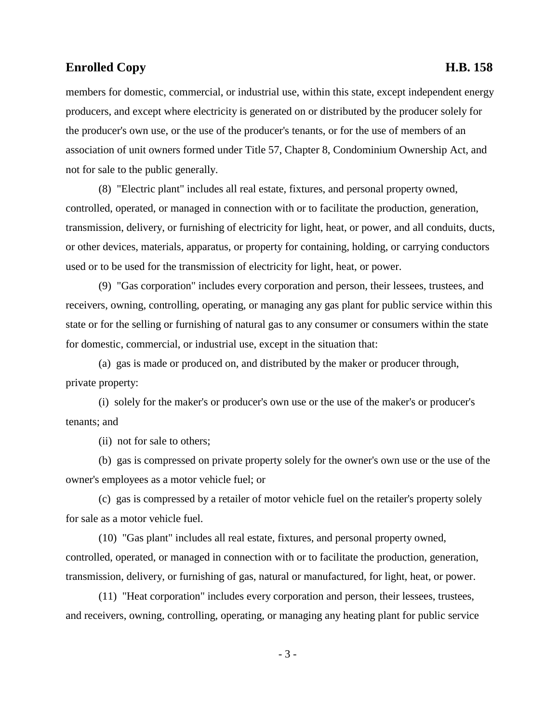members for domestic, commercial, or industrial use, within this state, except independent energy producers, and except where electricity is generated on or distributed by the producer solely for the producer's own use, or the use of the producer's tenants, or for the use of members of an association of unit owners formed under Title 57, Chapter 8, Condominium Ownership Act, and not for sale to the public generally.

(8) "Electric plant" includes all real estate, fixtures, and personal property owned, controlled, operated, or managed in connection with or to facilitate the production, generation, transmission, delivery, or furnishing of electricity for light, heat, or power, and all conduits, ducts, or other devices, materials, apparatus, or property for containing, holding, or carrying conductors used or to be used for the transmission of electricity for light, heat, or power.

(9) "Gas corporation" includes every corporation and person, their lessees, trustees, and receivers, owning, controlling, operating, or managing any gas plant for public service within this state or for the selling or furnishing of natural gas to any consumer or consumers within the state for domestic, commercial, or industrial use, except in the situation that:

(a) gas is made or produced on, and distributed by the maker or producer through, private property:

(i) solely for the maker's or producer's own use or the use of the maker's or producer's tenants; and

(ii) not for sale to others;

(b) gas is compressed on private property solely for the owner's own use or the use of the owner's employees as a motor vehicle fuel; or

(c) gas is compressed by a retailer of motor vehicle fuel on the retailer's property solely for sale as a motor vehicle fuel.

(10) "Gas plant" includes all real estate, fixtures, and personal property owned, controlled, operated, or managed in connection with or to facilitate the production, generation, transmission, delivery, or furnishing of gas, natural or manufactured, for light, heat, or power.

(11) "Heat corporation" includes every corporation and person, their lessees, trustees, and receivers, owning, controlling, operating, or managing any heating plant for public service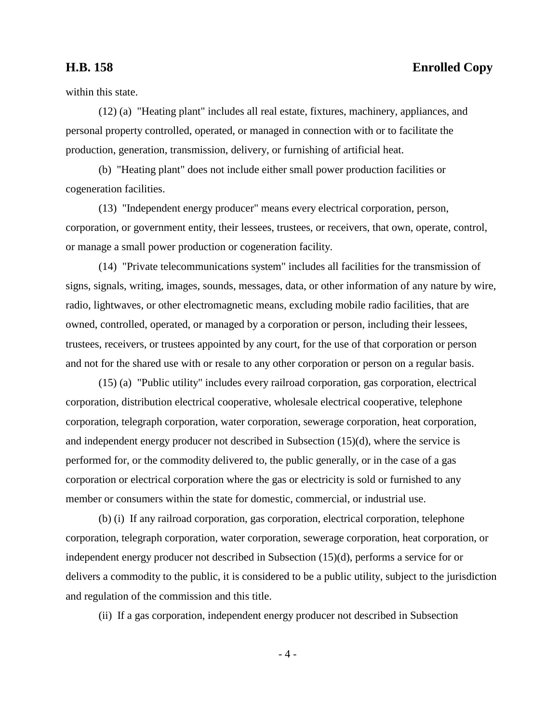# **H.B. 158 Enrolled Copy**

within this state.

(12) (a) "Heating plant" includes all real estate, fixtures, machinery, appliances, and personal property controlled, operated, or managed in connection with or to facilitate the production, generation, transmission, delivery, or furnishing of artificial heat.

(b) "Heating plant" does not include either small power production facilities or cogeneration facilities.

(13) "Independent energy producer" means every electrical corporation, person, corporation, or government entity, their lessees, trustees, or receivers, that own, operate, control, or manage a small power production or cogeneration facility.

(14) "Private telecommunications system" includes all facilities for the transmission of signs, signals, writing, images, sounds, messages, data, or other information of any nature by wire, radio, lightwaves, or other electromagnetic means, excluding mobile radio facilities, that are owned, controlled, operated, or managed by a corporation or person, including their lessees, trustees, receivers, or trustees appointed by any court, for the use of that corporation or person and not for the shared use with or resale to any other corporation or person on a regular basis.

(15) (a) "Public utility" includes every railroad corporation, gas corporation, electrical corporation, distribution electrical cooperative, wholesale electrical cooperative, telephone corporation, telegraph corporation, water corporation, sewerage corporation, heat corporation, and independent energy producer not described in Subsection (15)(d), where the service is performed for, or the commodity delivered to, the public generally, or in the case of a gas corporation or electrical corporation where the gas or electricity is sold or furnished to any member or consumers within the state for domestic, commercial, or industrial use.

(b) (i) If any railroad corporation, gas corporation, electrical corporation, telephone corporation, telegraph corporation, water corporation, sewerage corporation, heat corporation, or independent energy producer not described in Subsection (15)(d), performs a service for or delivers a commodity to the public, it is considered to be a public utility, subject to the jurisdiction and regulation of the commission and this title.

(ii) If a gas corporation, independent energy producer not described in Subsection

- 4 -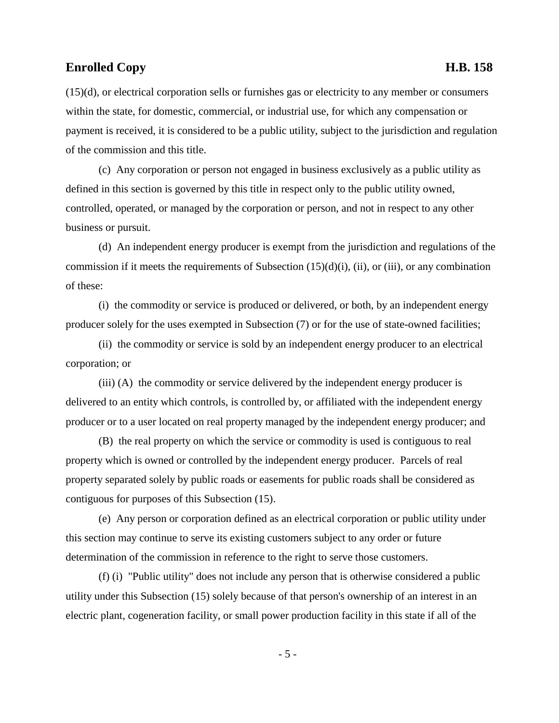(15)(d), or electrical corporation sells or furnishes gas or electricity to any member or consumers within the state, for domestic, commercial, or industrial use, for which any compensation or payment is received, it is considered to be a public utility, subject to the jurisdiction and regulation of the commission and this title.

(c) Any corporation or person not engaged in business exclusively as a public utility as defined in this section is governed by this title in respect only to the public utility owned, controlled, operated, or managed by the corporation or person, and not in respect to any other business or pursuit.

(d) An independent energy producer is exempt from the jurisdiction and regulations of the commission if it meets the requirements of Subsection  $(15)(d)(i)$ ,  $(ii)$ , or  $(iii)$ , or any combination of these:

(i) the commodity or service is produced or delivered, or both, by an independent energy producer solely for the uses exempted in Subsection (7) or for the use of state-owned facilities;

(ii) the commodity or service is sold by an independent energy producer to an electrical corporation; or

(iii) (A) the commodity or service delivered by the independent energy producer is delivered to an entity which controls, is controlled by, or affiliated with the independent energy producer or to a user located on real property managed by the independent energy producer; and

(B) the real property on which the service or commodity is used is contiguous to real property which is owned or controlled by the independent energy producer. Parcels of real property separated solely by public roads or easements for public roads shall be considered as contiguous for purposes of this Subsection (15).

(e) Any person or corporation defined as an electrical corporation or public utility under this section may continue to serve its existing customers subject to any order or future determination of the commission in reference to the right to serve those customers.

(f) (i) "Public utility" does not include any person that is otherwise considered a public utility under this Subsection (15) solely because of that person's ownership of an interest in an electric plant, cogeneration facility, or small power production facility in this state if all of the

- 5 -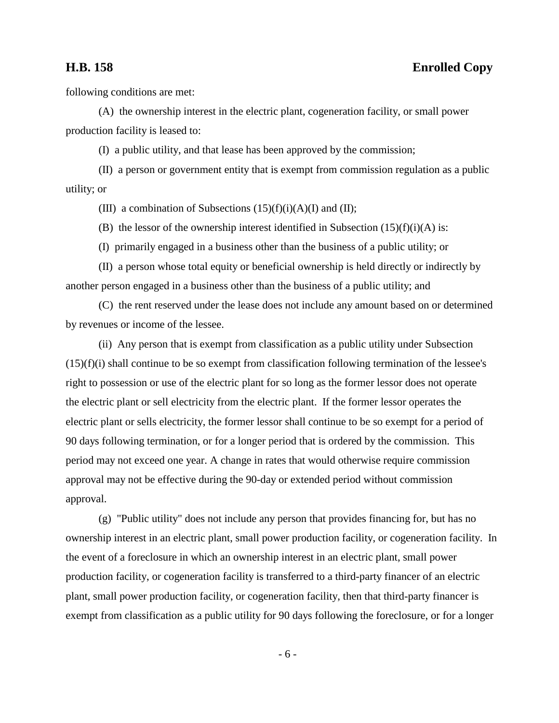following conditions are met:

(A) the ownership interest in the electric plant, cogeneration facility, or small power production facility is leased to:

(I) a public utility, and that lease has been approved by the commission;

(II) a person or government entity that is exempt from commission regulation as a public utility; or

(III) a combination of Subsections  $(15)(f)(i)(A)(I)$  and  $(II)$ ;

(B) the lessor of the ownership interest identified in Subsection  $(15)(f)(i)(A)$  is:

(I) primarily engaged in a business other than the business of a public utility; or

(II) a person whose total equity or beneficial ownership is held directly or indirectly by another person engaged in a business other than the business of a public utility; and

(C) the rent reserved under the lease does not include any amount based on or determined by revenues or income of the lessee.

(ii) Any person that is exempt from classification as a public utility under Subsection  $(15)(f)(i)$  shall continue to be so exempt from classification following termination of the lessee's right to possession or use of the electric plant for so long as the former lessor does not operate the electric plant or sell electricity from the electric plant. If the former lessor operates the electric plant or sells electricity, the former lessor shall continue to be so exempt for a period of 90 days following termination, or for a longer period that is ordered by the commission. This period may not exceed one year. A change in rates that would otherwise require commission approval may not be effective during the 90-day or extended period without commission approval.

(g) "Public utility" does not include any person that provides financing for, but has no ownership interest in an electric plant, small power production facility, or cogeneration facility. In the event of a foreclosure in which an ownership interest in an electric plant, small power production facility, or cogeneration facility is transferred to a third-party financer of an electric plant, small power production facility, or cogeneration facility, then that third-party financer is exempt from classification as a public utility for 90 days following the foreclosure, or for a longer

- 6 -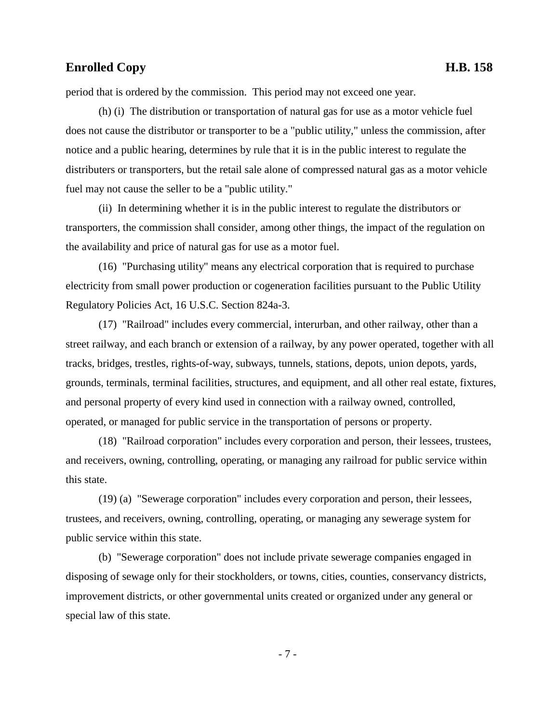period that is ordered by the commission. This period may not exceed one year.

(h) (i) The distribution or transportation of natural gas for use as a motor vehicle fuel does not cause the distributor or transporter to be a "public utility," unless the commission, after notice and a public hearing, determines by rule that it is in the public interest to regulate the distributers or transporters, but the retail sale alone of compressed natural gas as a motor vehicle fuel may not cause the seller to be a "public utility."

(ii) In determining whether it is in the public interest to regulate the distributors or transporters, the commission shall consider, among other things, the impact of the regulation on the availability and price of natural gas for use as a motor fuel.

(16) "Purchasing utility" means any electrical corporation that is required to purchase electricity from small power production or cogeneration facilities pursuant to the Public Utility Regulatory Policies Act, 16 U.S.C. Section 824a-3.

(17) "Railroad" includes every commercial, interurban, and other railway, other than a street railway, and each branch or extension of a railway, by any power operated, together with all tracks, bridges, trestles, rights-of-way, subways, tunnels, stations, depots, union depots, yards, grounds, terminals, terminal facilities, structures, and equipment, and all other real estate, fixtures, and personal property of every kind used in connection with a railway owned, controlled, operated, or managed for public service in the transportation of persons or property.

(18) "Railroad corporation" includes every corporation and person, their lessees, trustees, and receivers, owning, controlling, operating, or managing any railroad for public service within this state.

(19) (a) "Sewerage corporation" includes every corporation and person, their lessees, trustees, and receivers, owning, controlling, operating, or managing any sewerage system for public service within this state.

(b) "Sewerage corporation" does not include private sewerage companies engaged in disposing of sewage only for their stockholders, or towns, cities, counties, conservancy districts, improvement districts, or other governmental units created or organized under any general or special law of this state.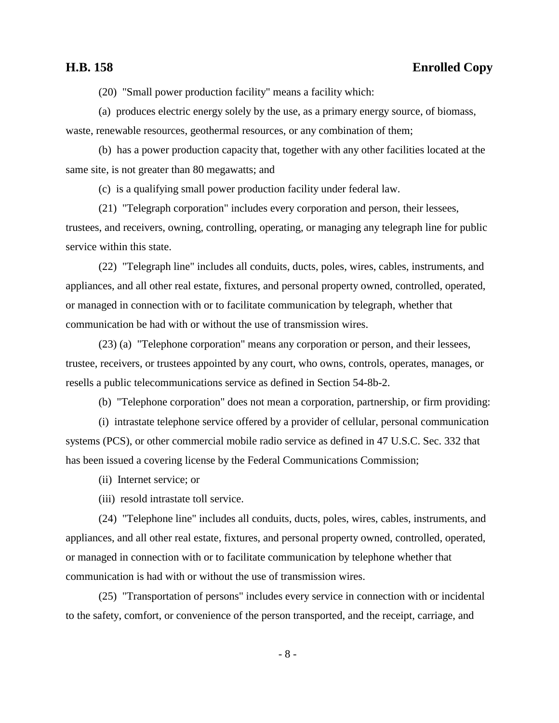# **H.B. 158 Enrolled Copy**

(20) "Small power production facility" means a facility which:

(a) produces electric energy solely by the use, as a primary energy source, of biomass, waste, renewable resources, geothermal resources, or any combination of them;

(b) has a power production capacity that, together with any other facilities located at the same site, is not greater than 80 megawatts; and

(c) is a qualifying small power production facility under federal law.

(21) "Telegraph corporation" includes every corporation and person, their lessees, trustees, and receivers, owning, controlling, operating, or managing any telegraph line for public service within this state.

(22) "Telegraph line" includes all conduits, ducts, poles, wires, cables, instruments, and appliances, and all other real estate, fixtures, and personal property owned, controlled, operated, or managed in connection with or to facilitate communication by telegraph, whether that communication be had with or without the use of transmission wires.

(23) (a) "Telephone corporation" means any corporation or person, and their lessees, trustee, receivers, or trustees appointed by any court, who owns, controls, operates, manages, or resells a public telecommunications service as defined in Section 54-8b-2.

(b) "Telephone corporation" does not mean a corporation, partnership, or firm providing:

(i) intrastate telephone service offered by a provider of cellular, personal communication systems (PCS), or other commercial mobile radio service as defined in 47 U.S.C. Sec. 332 that has been issued a covering license by the Federal Communications Commission;

(ii) Internet service; or

(iii) resold intrastate toll service.

(24) "Telephone line" includes all conduits, ducts, poles, wires, cables, instruments, and appliances, and all other real estate, fixtures, and personal property owned, controlled, operated, or managed in connection with or to facilitate communication by telephone whether that communication is had with or without the use of transmission wires.

(25) "Transportation of persons" includes every service in connection with or incidental to the safety, comfort, or convenience of the person transported, and the receipt, carriage, and

- 8 -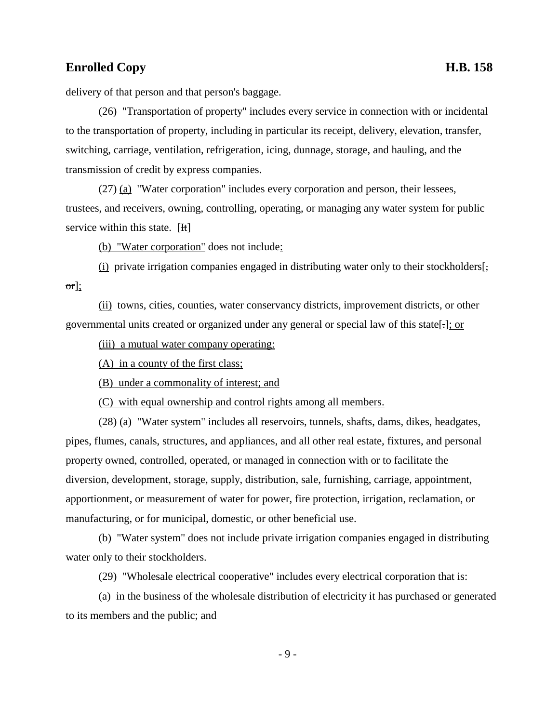delivery of that person and that person's baggage.

(26) "Transportation of property" includes every service in connection with or incidental to the transportation of property, including in particular its receipt, delivery, elevation, transfer, switching, carriage, ventilation, refrigeration, icing, dunnage, storage, and hauling, and the transmission of credit by express companies.

(27) (a) "Water corporation" includes every corporation and person, their lessees, trustees, and receivers, owning, controlling, operating, or managing any water system for public service within this state. [H]

(b) "Water corporation" does not include:

(i) private irrigation companies engaged in distributing water only to their stockholders[, or];

(ii) towns, cities, counties, water conservancy districts, improvement districts, or other governmental units created or organized under any general or special law of this state[.]; or

(iii) a mutual water company operating:

(A) in a county of the first class;

(B) under a commonality of interest; and

(C) with equal ownership and control rights among all members.

(28) (a) "Water system" includes all reservoirs, tunnels, shafts, dams, dikes, headgates, pipes, flumes, canals, structures, and appliances, and all other real estate, fixtures, and personal property owned, controlled, operated, or managed in connection with or to facilitate the diversion, development, storage, supply, distribution, sale, furnishing, carriage, appointment, apportionment, or measurement of water for power, fire protection, irrigation, reclamation, or manufacturing, or for municipal, domestic, or other beneficial use.

(b) "Water system" does not include private irrigation companies engaged in distributing water only to their stockholders.

(29) "Wholesale electrical cooperative" includes every electrical corporation that is:

(a) in the business of the wholesale distribution of electricity it has purchased or generated to its members and the public; and